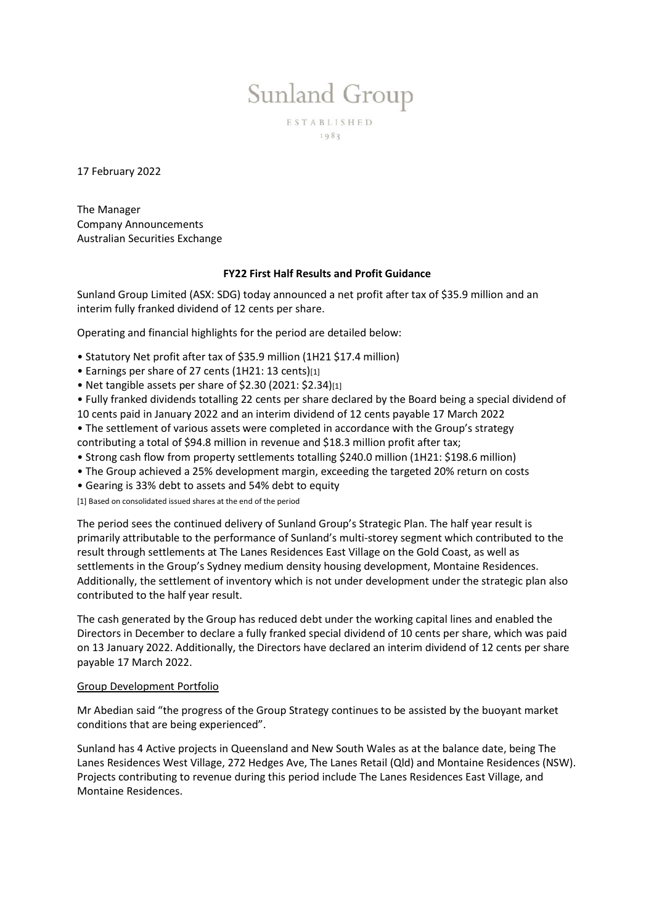# Sunland Group

ESTABLISHED  $1983$ 

17 February 2022

The Manager Company Announcements Australian Securities Exchange

## **FY22 First Half Results and Profit Guidance**

Sunland Group Limited (ASX: SDG) today announced a net profit after tax of \$35.9 million and an interim fully franked dividend of 12 cents per share.

Operating and financial highlights for the period are detailed below:

- Statutory Net profit after tax of \$35.9 million (1H21 \$17.4 million)
- Earnings per share of 27 cents (1H21: 13 cents)[1]
- Net tangible assets per share of \$2.30 (2021: \$2.34)[1]
- Fully franked dividends totalling 22 cents per share declared by the Board being a special dividend of 10 cents paid in January 2022 and an interim dividend of 12 cents payable 17 March 2022
- The settlement of various assets were completed in accordance with the Group's strategy contributing a total of \$94.8 million in revenue and \$18.3 million profit after tax;
- Strong cash flow from property settlements totalling \$240.0 million (1H21: \$198.6 million)
- The Group achieved a 25% development margin, exceeding the targeted 20% return on costs
- Gearing is 33% debt to assets and 54% debt to equity

[1] Based on consolidated issued shares at the end of the period

The period sees the continued delivery of Sunland Group's Strategic Plan. The half year result is primarily attributable to the performance of Sunland's multi-storey segment which contributed to the result through settlements at The Lanes Residences East Village on the Gold Coast, as well as settlements in the Group's Sydney medium density housing development, Montaine Residences. Additionally, the settlement of inventory which is not under development under the strategic plan also contributed to the half year result.

The cash generated by the Group has reduced debt under the working capital lines and enabled the Directors in December to declare a fully franked special dividend of 10 cents per share, which was paid on 13 January 2022. Additionally, the Directors have declared an interim dividend of 12 cents per share payable 17 March 2022.

#### Group Development Portfolio

Mr Abedian said "the progress of the Group Strategy continues to be assisted by the buoyant market conditions that are being experienced".

Sunland has 4 Active projects in Queensland and New South Wales as at the balance date, being The Lanes Residences West Village, 272 Hedges Ave, The Lanes Retail (Qld) and Montaine Residences (NSW). Projects contributing to revenue during this period include The Lanes Residences East Village, and Montaine Residences.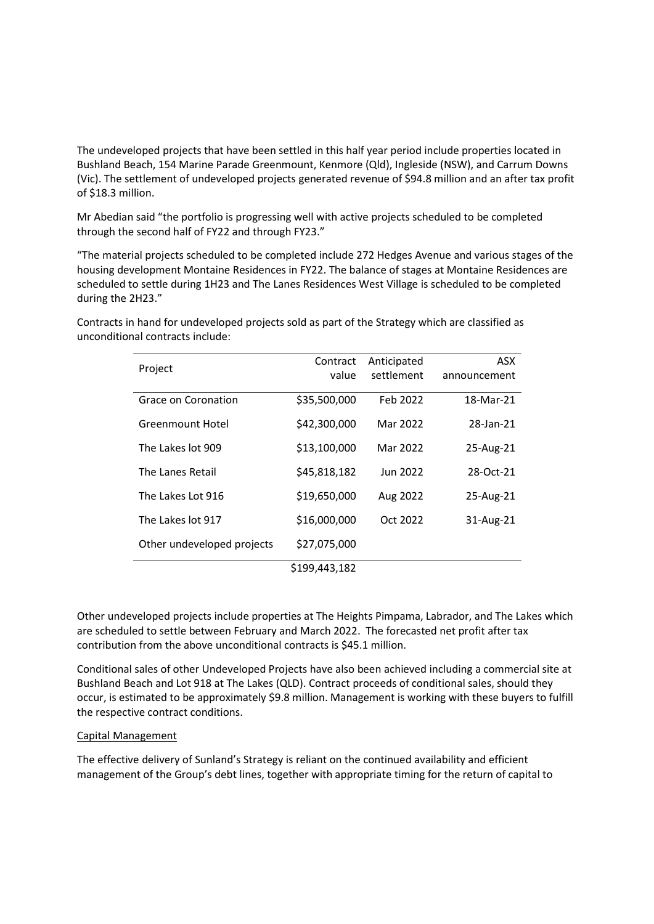The undeveloped projects that have been settled in this half year period include properties located in Bushland Beach, 154 Marine Parade Greenmount, Kenmore (Qld), Ingleside (NSW), and Carrum Downs (Vic). The settlement of undeveloped projects generated revenue of \$94.8 million and an after tax profit of \$18.3 million.

Mr Abedian said "the portfolio is progressing well with active projects scheduled to be completed through the second half of FY22 and through FY23."

"The material projects scheduled to be completed include 272 Hedges Avenue and various stages of the housing development Montaine Residences in FY22. The balance of stages at Montaine Residences are scheduled to settle during 1H23 and The Lanes Residences West Village is scheduled to be completed during the 2H23."

| Project                    | Contract      | Anticipated | <b>ASX</b>   |
|----------------------------|---------------|-------------|--------------|
|                            | value         | settlement  | announcement |
|                            |               |             |              |
| Grace on Coronation        | \$35,500,000  | Feb 2022    | 18-Mar-21    |
|                            |               |             |              |
| Greenmount Hotel           | \$42,300,000  | Mar 2022    | 28-Jan-21    |
|                            |               |             |              |
| The Lakes lot 909          | \$13,100,000  | Mar 2022    | 25-Aug-21    |
| The Lanes Retail           | \$45,818,182  | Jun 2022    | 28-Oct-21    |
|                            |               |             |              |
| The Lakes Lot 916          | \$19,650,000  | Aug 2022    | 25-Aug-21    |
|                            |               |             |              |
| The Lakes lot 917          | \$16,000,000  | Oct 2022    | 31-Aug-21    |
|                            |               |             |              |
| Other undeveloped projects | \$27,075,000  |             |              |
|                            |               |             |              |
|                            | \$199,443,182 |             |              |

Contracts in hand for undeveloped projects sold as part of the Strategy which are classified as unconditional contracts include:

Other undeveloped projects include properties at The Heights Pimpama, Labrador, and The Lakes which are scheduled to settle between February and March 2022. The forecasted net profit after tax contribution from the above unconditional contracts is \$45.1 million.

Conditional sales of other Undeveloped Projects have also been achieved including a commercial site at Bushland Beach and Lot 918 at The Lakes (QLD). Contract proceeds of conditional sales, should they occur, is estimated to be approximately \$9.8 million. Management is working with these buyers to fulfill the respective contract conditions.

## Capital Management

The effective delivery of Sunland's Strategy is reliant on the continued availability and efficient management of the Group's debt lines, together with appropriate timing for the return of capital to